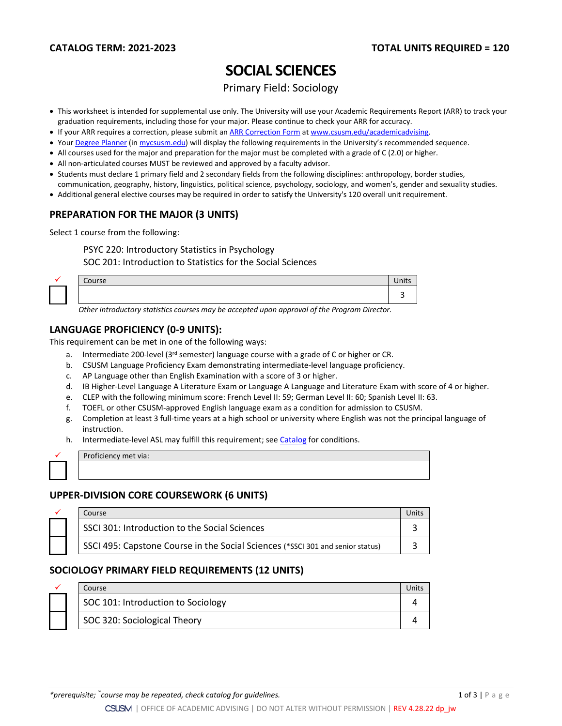# **SOCIAL SCIENCES**

Primary Field: Sociology

- This worksheet is intended for supplemental use only. The University will use your Academic Requirements Report (ARR) to track your graduation requirements, including those for your major. Please continue to check your ARR for accuracy.
- If your ARR requires a correction, please submit an [ARR Correction Form](http://www.csusm.edu/academicadvising/arrcorrection/index.html) a[t www.csusm.edu/academicadvising.](http://www.csusm.edu/academicadvising)
- You[r Degree Planner](https://www.csusm.edu/academicadvising/degreeplanner/index.html) (i[n mycsusm.edu\)](https://my.csusm.edu/) will display the following requirements in the University's recommended sequence.
- All courses used for the major and preparation for the major must be completed with a grade of C (2.0) or higher.
- All non-articulated courses MUST be reviewed and approved by a faculty advisor.
- Students must declare 1 primary field and 2 secondary fields from the following disciplines: anthropology, border studies,
- communication, geography, history, linguistics, political science, psychology, sociology, and women's, gender and sexuality studies.
- Additional general elective courses may be required in order to satisfy the University's 120 overall unit requirement.

## **PREPARATION FOR THE MAJOR (3 UNITS)**

Select 1 course from the following:

PSYC 220: Introductory Statistics in Psychology SOC 201: Introduction to Statistics for the Social Sciences

| Course |  | $\bullet$ .<br>Inits |
|--------|--|----------------------|
|        |  |                      |

3 *Other introductory statistics courses may be accepted upon approval of the Program Director.*

### **LANGUAGE PROFICIENCY (0-9 UNITS):**

This requirement can be met in one of the following ways:

- a. Intermediate 200-level ( $3<sup>rd</sup>$  semester) language course with a grade of C or higher or CR.
- b. CSUSM Language Proficiency Exam demonstrating intermediate-level language proficiency.
- c. AP Language other than English Examination with a score of 3 or higher.
- d. IB Higher-Level Language A Literature Exam or Language A Language and Literature Exam with score of 4 or higher.
- e. CLEP with the following minimum score: French Level II: 59; German Level II: 60; Spanish Level II: 63.
- f. TOEFL or other CSUSM-approved English language exam as a condition for admission to CSUSM.
- g. Completion at least 3 full-time years at a high school or university where English was not the principal language of instruction.
- h. Intermediate-level ASL may fulfill this requirement; see [Catalog](http://catalog.csusm.edu/) for conditions.

Proficiency met via:

## **UPPER-DIVISION CORE COURSEWORK (6 UNITS)**

|  | Course                                                                         |  |
|--|--------------------------------------------------------------------------------|--|
|  | SSCI 301: Introduction to the Social Sciences                                  |  |
|  | SSCI 495: Capstone Course in the Social Sciences (*SSCI 301 and senior status) |  |

## **SOCIOLOGY PRIMARY FIELD REQUIREMENTS (12 UNITS)**

|  | Course                             |  |
|--|------------------------------------|--|
|  | SOC 101: Introduction to Sociology |  |
|  | SOC 320: Sociological Theory       |  |

*\*prerequisite;*  $\tilde{c}$  course may be repeated, check catalog for guidelines. 1 of 3 | P a g e sequence is the set of 3 | P a g e

CSUSM | OFFICE OF ACADEMIC ADVISING | DO NOT ALTER WITHOUT PERMISSION | REV 4.28.22 dp\_jw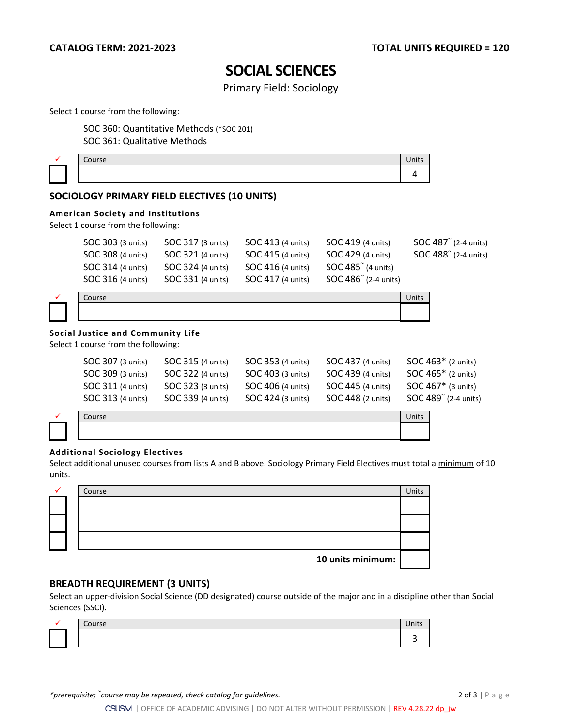## **SOCIAL SCIENCES**

Primary Field: Sociology

Select 1 course from the following:

SOC 360: Quantitative Methods (\*SOC 201) SOC 361: Qualitative Methods

|  | <br>35 |  |
|--|--------|--|
|  |        |  |

## **SOCIOLOGY PRIMARY FIELD ELECTIVES (10 UNITS)**

#### **American Society and Institutions**

Select 1 course from the following:

| SOC 303 (3 units) | SOC 317 (3 units) | SOC 413 (4 units) | SOC 419 (4 units)              | SOC $487^\circ$ (2-4 units) |
|-------------------|-------------------|-------------------|--------------------------------|-----------------------------|
| SOC 308 (4 units) | SOC 321 (4 units) | SOC 415 (4 units) | SOC 429 (4 units)              | SOC $488^\circ$ (2-4 units) |
| SOC 314 (4 units) | SOC 324 (4 units) | SOC 416 (4 units) | SOC 485 <sup>"</sup> (4 units) |                             |
| SOC 316 (4 units) | SOC 331 (4 units) | SOC 417 (4 units) | SOC 486 (2-4 units)            |                             |
|                   |                   |                   |                                |                             |

|  | -<br>$\cdots$<br>. | ш |
|--|--------------------|---|
|  |                    |   |

## **Social Justice and Community Life**

Select 1 course from the following:

| <b>SOC 307 (3 units)</b> | <b>SOC 315 (4 units)</b> | <b>SOC 353 (4 units)</b> | <b>SOC 437 (4 units)</b> | SOC 463* (2 units)   |
|--------------------------|--------------------------|--------------------------|--------------------------|----------------------|
| SOC 309 (3 units)        | <b>SOC 322 (4 units)</b> | SOC 403 (3 units)        | SOC 439 (4 units)        | $SOC 465*$ (2 units) |
| <b>SOC 311 (4 units)</b> | <b>SOC 323 (3 units)</b> | SOC 406 (4 units)        | SOC 445 (4 units)        | SOC $467*$ (3 units) |
| <b>SOC 313 (4 units)</b> | SOC 339 (4 units)        | SOC 424 (3 units)        | SOC 448 (2 units)        | SOC 489 (2-4 units)  |

| 711500<br>11 SC | צווור |
|-----------------|-------|
|                 |       |

#### **Additional Sociology Electives**

Select additional unused courses from lists A and B above. Sociology Primary Field Electives must total a minimum of 10 units.

|  | Course            | Units |
|--|-------------------|-------|
|  |                   |       |
|  |                   |       |
|  |                   |       |
|  |                   |       |
|  |                   |       |
|  |                   |       |
|  | 10 units minimum: |       |

### **BREADTH REQUIREMENT (3 UNITS)**

Select an upper-division Social Science (DD designated) course outside of the major and in a discipline other than Social Sciences (SSCI).

|  | Course |  |
|--|--------|--|
|  |        |  |